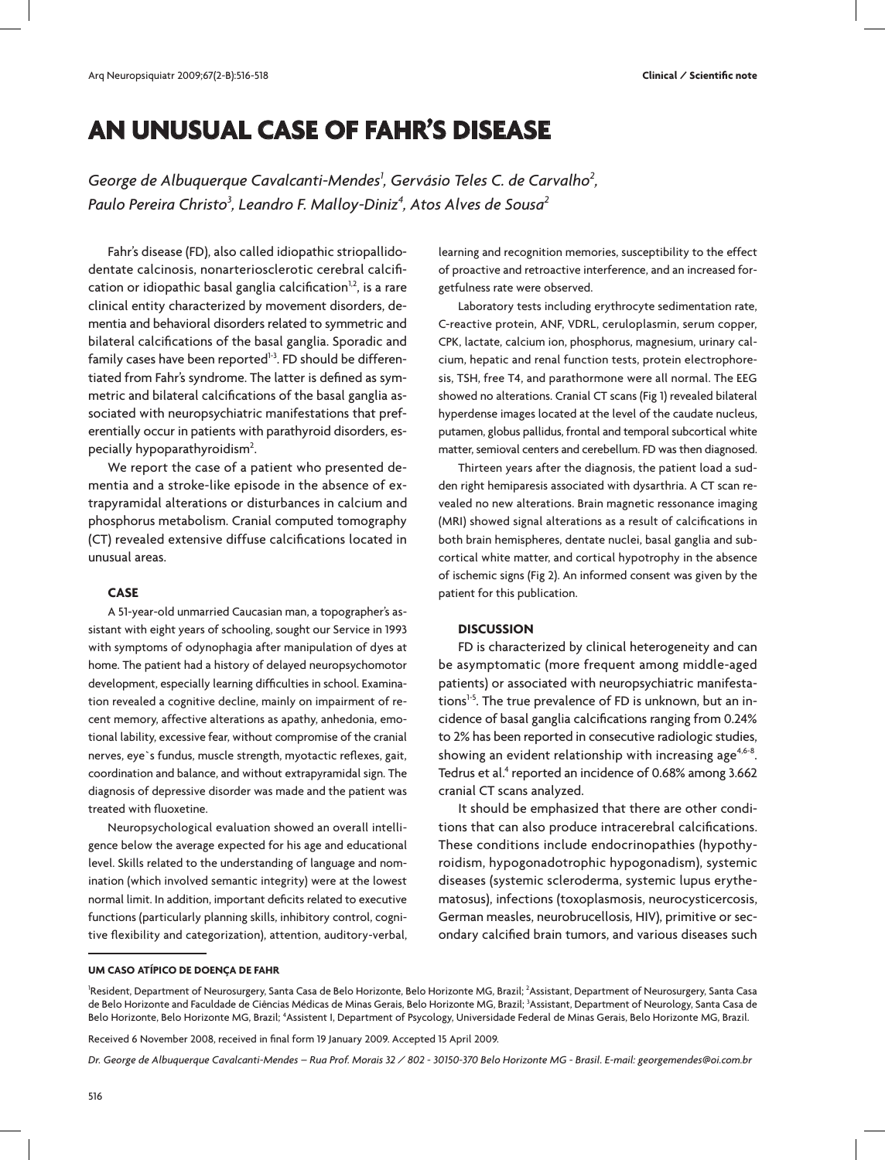# **AN UNUSUAL CASE OF FAHR'S DISEASE**

George de Albuquerque Cavalcanti-Mendes<sup>1</sup>, Gervásio Teles C. de Carvalho<sup>2</sup>, *Paulo Pereira Christo3 , Leandro F. Malloy-Diniz4 , Atos Alves de Sousa2*

Fahr's disease (FD), also called idiopathic striopallidodentate calcinosis, nonarteriosclerotic cerebral calcification or idiopathic basal ganglia calcification $1,2$ , is a rare clinical entity characterized by movement disorders, dementia and behavioral disorders related to symmetric and bilateral calcifications of the basal ganglia. Sporadic and family cases have been reported $1-3$ . FD should be differentiated from Fahr's syndrome. The latter is defined as symmetric and bilateral calcifications of the basal ganglia associated with neuropsychiatric manifestations that preferentially occur in patients with parathyroid disorders, especially hypoparathyroidism<sup>2</sup>. .

We report the case of a patient who presented dementia and a stroke-like episode in the absence of extrapyramidal alterations or disturbances in calcium and phosphorus metabolism. Cranial computed tomography (CT) revealed extensive diffuse calcifications located in unusual areas.

# **CASE**

A 51-year-old unmarried Caucasian man, a topographer's assistant with eight years of schooling, sought our Service in 1993 with symptoms of odynophagia after manipulation of dyes at home. The patient had a history of delayed neuropsychomotor development, especially learning difficulties in school. Examination revealed a cognitive decline, mainly on impairment of recent memory, affective alterations as apathy, anhedonia, emotional lability, excessive fear, without compromise of the cranial nerves, eye`s fundus, muscle strength, myotactic reflexes, gait, coordination and balance, and without extrapyramidal sign. The diagnosis of depressive disorder was made and the patient was treated with fluoxetine.

Neuropsychological evaluation showed an overall intelligence below the average expected for his age and educational level. Skills related to the understanding of language and nomination (which involved semantic integrity) were at the lowest normal limit. In addition, important deficits related to executive functions (particularly planning skills, inhibitory control, cognitive flexibility and categorization), attention, auditory-verbal, learning and recognition memories, susceptibility to the effect of proactive and retroactive interference, and an increased forgetfulness rate were observed.

Laboratory tests including erythrocyte sedimentation rate, C-reactive protein, ANF, VDRL, ceruloplasmin, serum copper, CPK, lactate, calcium ion, phosphorus, magnesium, urinary calcium, hepatic and renal function tests, protein electrophoresis, TSH, free T4, and parathormone were all normal. The EEG showed no alterations. Cranial CT scans (Fig 1) revealed bilateral hyperdense images located at the level of the caudate nucleus, putamen, globus pallidus, frontal and temporal subcortical white matter, semioval centers and cerebellum. FD was then diagnosed.

Thirteen years after the diagnosis, the patient load a sudden right hemiparesis associated with dysarthria. A CT scan revealed no new alterations. Brain magnetic ressonance imaging (MRI) showed signal alterations as a result of calcifications in both brain hemispheres, dentate nuclei, basal ganglia and subcortical white matter, and cortical hypotrophy in the absence of ischemic signs (Fig 2). An informed consent was given by the patient for this publication.

## **DISCUSSION**

FD is characterized by clinical heterogeneity and can be asymptomatic (more frequent among middle-aged patients) or associated with neuropsychiatric manifestations<sup>1-5</sup>. The true prevalence of FD is unknown, but an incidence of basal ganglia calcifications ranging from 0.24% to 2% has been reported in consecutive radiologic studies, showing an evident relationship with increasing age<sup>4,6-8</sup>. Tedrus et al.<sup>4</sup> reported an incidence of 0.68% among 3.662 cranial CT scans analyzed.

It should be emphasized that there are other conditions that can also produce intracerebral calcifications. These conditions include endocrinopathies (hypothyroidism, hypogonadotrophic hypogonadism), systemic diseases (systemic scleroderma, systemic lupus erythematosus), infections (toxoplasmosis, neurocysticercosis, German measles, neurobrucellosis, HIV), primitive or secondary calcified brain tumors, and various diseases such

#### **UM CASO ATÍPICO DE DOENÇA DE FAHR**

<sup>1</sup>Resident, Department of Neurosurgery, Santa Casa de Belo Horizonte, Belo Horizonte MG, Brazil; <sup>2</sup>Assistant, Department of Neurosurgery, Santa Casa de Belo Horizonte and Faculdade de Ciências Médicas de Minas Gerais, Belo Horizonte MG, Brazil; 3 Assistant, Department of Neurology, Santa Casa de Belo Horizonte, Belo Horizonte MG, Brazil; <sup>4</sup>Assistent I, Department of Psycology, Universidade Federal de Minas Gerais, Belo Horizonte MG, Brazil.

Received 6 November 2008, received in final form 19 January 2009. Accepted 15 April 2009.

*Dr. George de Albuquerque Cavalcanti-Mendes – Rua Prof. Morais 32 / 802 - 30150-370 Belo Horizonte MG - Brasil. E-mail: georgemendes@oi.com.br*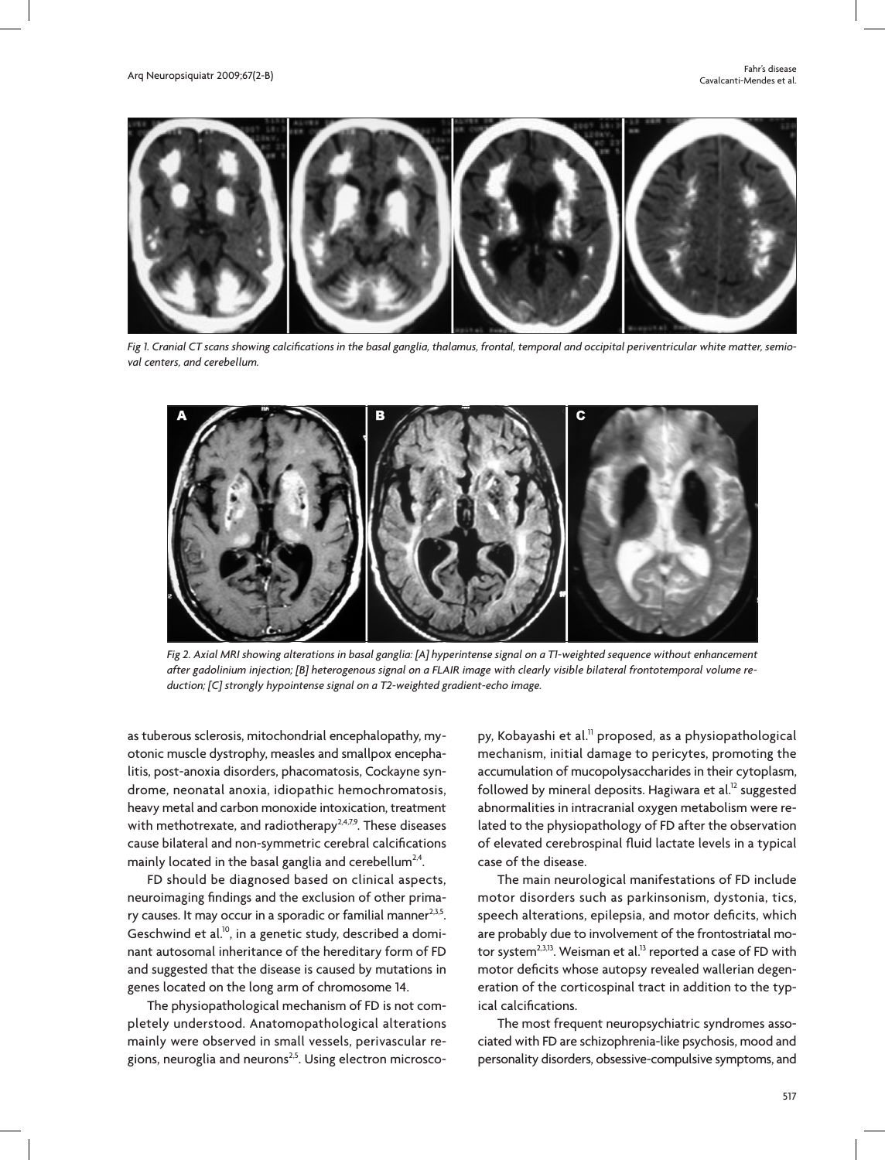

*Fig 1. Cranial CT scans showing calcifications in the basal ganglia, thalamus, frontal, temporal and occipital periventricular white matter, semioval centers, and cerebellum.* 



*Fig 2. Axial MRI showing alterations in basal ganglia: [A] hyperintense signal on a T1-weighted sequence without enhancement after gadolinium injection; [B] heterogenous signal on a FLAIR image with clearly visible bilateral frontotemporal volume reduction; [C] strongly hypointense signal on a T2-weighted gradient-echo image.*

as tuberous sclerosis, mitochondrial encephalopathy, myotonic muscle dystrophy, measles and smallpox encephalitis, post-anoxia disorders, phacomatosis, Cockayne syndrome, neonatal anoxia, idiopathic hemochromatosis, heavy metal and carbon monoxide intoxication, treatment with methotrexate, and radiotherapy<sup>2,4,7,9</sup>. These diseases cause bilateral and non-symmetric cerebral calcifications mainly located in the basal ganglia and cerebellum<sup>2,4</sup>.

FD should be diagnosed based on clinical aspects, neuroimaging findings and the exclusion of other primary causes. It may occur in a sporadic or familial manner $2.35$ . Geschwind et al.<sup>10</sup>, in a genetic study, described a dominant autosomal inheritance of the hereditary form of FD and suggested that the disease is caused by mutations in genes located on the long arm of chromosome 14.

The physiopathological mechanism of FD is not completely understood. Anatomopathological alterations mainly were observed in small vessels, perivascular regions, neuroglia and neurons<sup>2,5</sup>. Using electron microscopy, Kobayashi et al.<sup>11</sup> proposed, as a physiopathological mechanism, initial damage to pericytes, promoting the accumulation of mucopolysaccharides in their cytoplasm, followed by mineral deposits. Hagiwara et al.<sup>12</sup> suggested abnormalities in intracranial oxygen metabolism were related to the physiopathology of FD after the observation of elevated cerebrospinal fluid lactate levels in a typical case of the disease.

The main neurological manifestations of FD include motor disorders such as parkinsonism, dystonia, tics, speech alterations, epilepsia, and motor deficits, which are probably due to involvement of the frontostriatal motor system<sup>2,3,13</sup>. Weisman et al.<sup>13</sup> reported a case of FD with motor deficits whose autopsy revealed wallerian degeneration of the corticospinal tract in addition to the typical calcifications.

The most frequent neuropsychiatric syndromes associated with FD are schizophrenia-like psychosis, mood and personality disorders, obsessive-compulsive symptoms, and